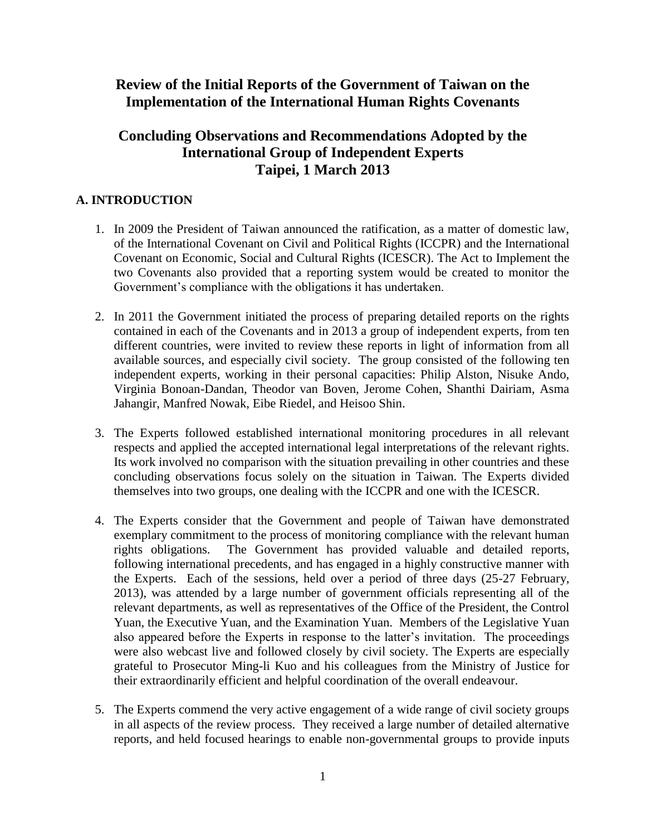# **Review of the Initial Reports of the Government of Taiwan on the Implementation of the International Human Rights Covenants**

# **Concluding Observations and Recommendations Adopted by the International Group of Independent Experts Taipei, 1 March 2013**

# **A. INTRODUCTION**

- 1. In 2009 the President of Taiwan announced the ratification, as a matter of domestic law, of the International Covenant on Civil and Political Rights (ICCPR) and the International Covenant on Economic, Social and Cultural Rights (ICESCR). The Act to Implement the two Covenants also provided that a reporting system would be created to monitor the Government's compliance with the obligations it has undertaken.
- 2. In 2011 the Government initiated the process of preparing detailed reports on the rights contained in each of the Covenants and in 2013 a group of independent experts, from ten different countries, were invited to review these reports in light of information from all available sources, and especially civil society. The group consisted of the following ten independent experts, working in their personal capacities: Philip Alston, Nisuke Ando, Virginia Bonoan-Dandan, Theodor van Boven, Jerome Cohen, Shanthi Dairiam, Asma Jahangir, Manfred Nowak, Eibe Riedel, and Heisoo Shin.
- 3. The Experts followed established international monitoring procedures in all relevant respects and applied the accepted international legal interpretations of the relevant rights. Its work involved no comparison with the situation prevailing in other countries and these concluding observations focus solely on the situation in Taiwan. The Experts divided themselves into two groups, one dealing with the ICCPR and one with the ICESCR.
- 4. The Experts consider that the Government and people of Taiwan have demonstrated exemplary commitment to the process of monitoring compliance with the relevant human rights obligations. The Government has provided valuable and detailed reports, following international precedents, and has engaged in a highly constructive manner with the Experts. Each of the sessions, held over a period of three days (25-27 February, 2013), was attended by a large number of government officials representing all of the relevant departments, as well as representatives of the Office of the President, the Control Yuan, the Executive Yuan, and the Examination Yuan. Members of the Legislative Yuan also appeared before the Experts in response to the latter's invitation. The proceedings were also webcast live and followed closely by civil society. The Experts are especially grateful to Prosecutor Ming-li Kuo and his colleagues from the Ministry of Justice for their extraordinarily efficient and helpful coordination of the overall endeavour.
- 5. The Experts commend the very active engagement of a wide range of civil society groups in all aspects of the review process. They received a large number of detailed alternative reports, and held focused hearings to enable non-governmental groups to provide inputs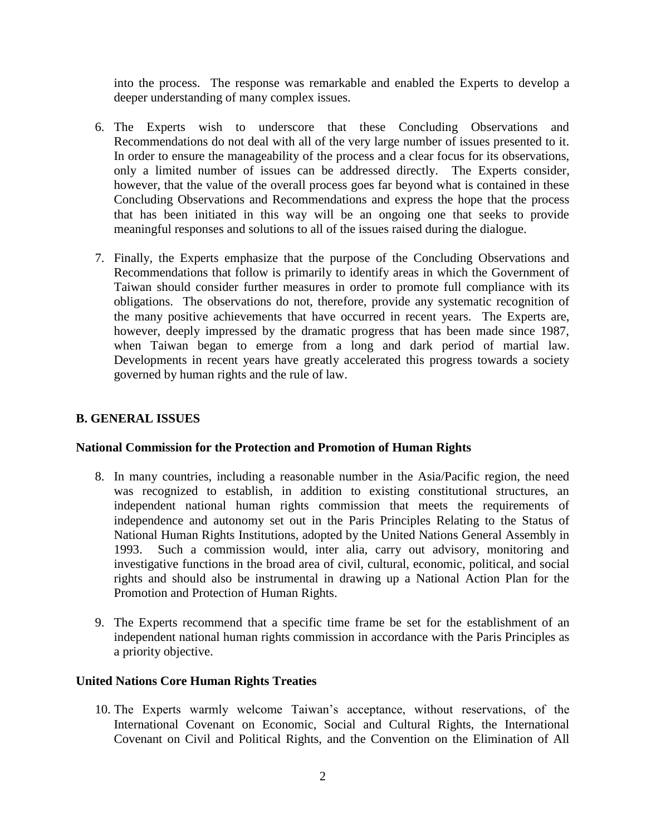into the process. The response was remarkable and enabled the Experts to develop a deeper understanding of many complex issues.

- 6. The Experts wish to underscore that these Concluding Observations and Recommendations do not deal with all of the very large number of issues presented to it. In order to ensure the manageability of the process and a clear focus for its observations, only a limited number of issues can be addressed directly. The Experts consider, however, that the value of the overall process goes far beyond what is contained in these Concluding Observations and Recommendations and express the hope that the process that has been initiated in this way will be an ongoing one that seeks to provide meaningful responses and solutions to all of the issues raised during the dialogue.
- 7. Finally, the Experts emphasize that the purpose of the Concluding Observations and Recommendations that follow is primarily to identify areas in which the Government of Taiwan should consider further measures in order to promote full compliance with its obligations. The observations do not, therefore, provide any systematic recognition of the many positive achievements that have occurred in recent years. The Experts are, however, deeply impressed by the dramatic progress that has been made since 1987, when Taiwan began to emerge from a long and dark period of martial law. Developments in recent years have greatly accelerated this progress towards a society governed by human rights and the rule of law.

# **B. GENERAL ISSUES**

### **National Commission for the Protection and Promotion of Human Rights**

- 8. In many countries, including a reasonable number in the Asia/Pacific region, the need was recognized to establish, in addition to existing constitutional structures, an independent national human rights commission that meets the requirements of independence and autonomy set out in the Paris Principles Relating to the Status of National Human Rights Institutions, adopted by the United Nations General Assembly in 1993. Such a commission would, inter alia, carry out advisory, monitoring and investigative functions in the broad area of civil, cultural, economic, political, and social rights and should also be instrumental in drawing up a National Action Plan for the Promotion and Protection of Human Rights.
- 9. The Experts recommend that a specific time frame be set for the establishment of an independent national human rights commission in accordance with the Paris Principles as a priority objective.

### **United Nations Core Human Rights Treaties**

10. The Experts warmly welcome Taiwan's acceptance, without reservations, of the International Covenant on Economic, Social and Cultural Rights, the International Covenant on Civil and Political Rights, and the Convention on the Elimination of All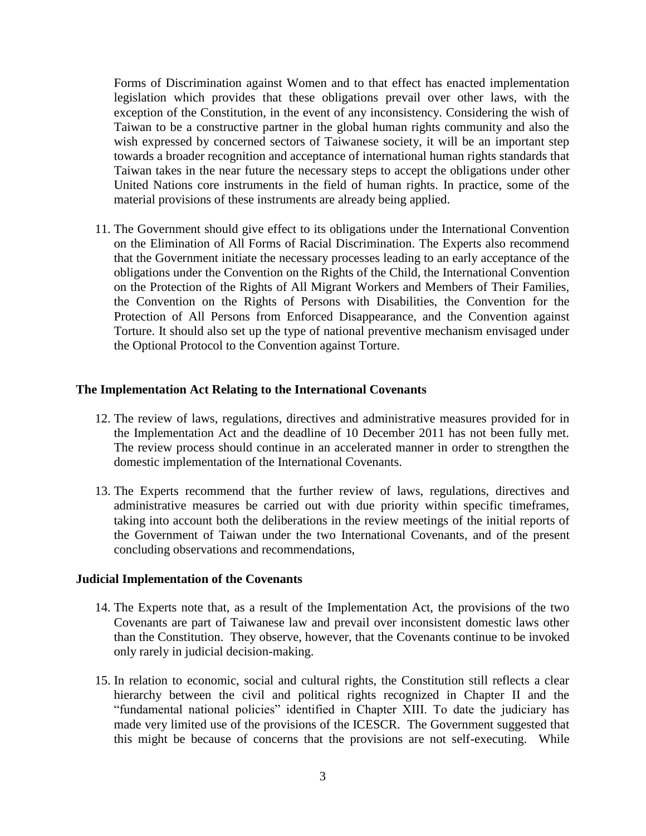Forms of Discrimination against Women and to that effect has enacted implementation legislation which provides that these obligations prevail over other laws, with the exception of the Constitution, in the event of any inconsistency. Considering the wish of Taiwan to be a constructive partner in the global human rights community and also the wish expressed by concerned sectors of Taiwanese society, it will be an important step towards a broader recognition and acceptance of international human rights standards that Taiwan takes in the near future the necessary steps to accept the obligations under other United Nations core instruments in the field of human rights. In practice, some of the material provisions of these instruments are already being applied.

11. The Government should give effect to its obligations under the International Convention on the Elimination of All Forms of Racial Discrimination. The Experts also recommend that the Government initiate the necessary processes leading to an early acceptance of the obligations under the Convention on the Rights of the Child, the International Convention on the Protection of the Rights of All Migrant Workers and Members of Their Families, the Convention on the Rights of Persons with Disabilities, the Convention for the Protection of All Persons from Enforced Disappearance, and the Convention against Torture. It should also set up the type of national preventive mechanism envisaged under the Optional Protocol to the Convention against Torture.

### **The Implementation Act Relating to the International Covenants**

- 12. The review of laws, regulations, directives and administrative measures provided for in the Implementation Act and the deadline of 10 December 2011 has not been fully met. The review process should continue in an accelerated manner in order to strengthen the domestic implementation of the International Covenants.
- 13. The Experts recommend that the further review of laws, regulations, directives and administrative measures be carried out with due priority within specific timeframes, taking into account both the deliberations in the review meetings of the initial reports of the Government of Taiwan under the two International Covenants, and of the present concluding observations and recommendations,

#### **Judicial Implementation of the Covenants**

- 14. The Experts note that, as a result of the Implementation Act, the provisions of the two Covenants are part of Taiwanese law and prevail over inconsistent domestic laws other than the Constitution. They observe, however, that the Covenants continue to be invoked only rarely in judicial decision-making.
- 15. In relation to economic, social and cultural rights, the Constitution still reflects a clear hierarchy between the civil and political rights recognized in Chapter II and the "fundamental national policies" identified in Chapter XIII. To date the judiciary has made very limited use of the provisions of the ICESCR. The Government suggested that this might be because of concerns that the provisions are not self-executing. While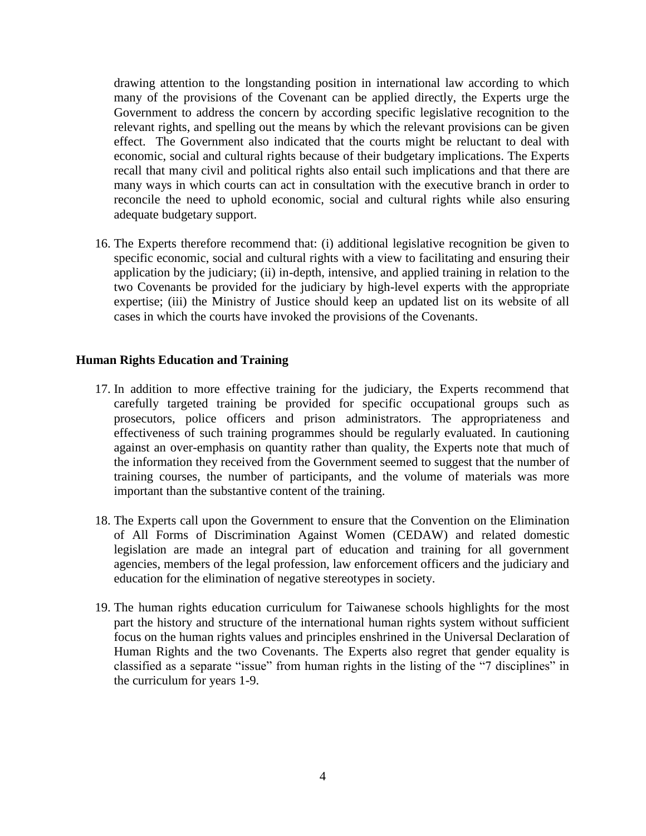drawing attention to the longstanding position in international law according to which many of the provisions of the Covenant can be applied directly, the Experts urge the Government to address the concern by according specific legislative recognition to the relevant rights, and spelling out the means by which the relevant provisions can be given effect. The Government also indicated that the courts might be reluctant to deal with economic, social and cultural rights because of their budgetary implications. The Experts recall that many civil and political rights also entail such implications and that there are many ways in which courts can act in consultation with the executive branch in order to reconcile the need to uphold economic, social and cultural rights while also ensuring adequate budgetary support.

16. The Experts therefore recommend that: (i) additional legislative recognition be given to specific economic, social and cultural rights with a view to facilitating and ensuring their application by the judiciary; (ii) in-depth, intensive, and applied training in relation to the two Covenants be provided for the judiciary by high-level experts with the appropriate expertise; (iii) the Ministry of Justice should keep an updated list on its website of all cases in which the courts have invoked the provisions of the Covenants.

# **Human Rights Education and Training**

- 17. In addition to more effective training for the judiciary, the Experts recommend that carefully targeted training be provided for specific occupational groups such as prosecutors, police officers and prison administrators. The appropriateness and effectiveness of such training programmes should be regularly evaluated. In cautioning against an over-emphasis on quantity rather than quality, the Experts note that much of the information they received from the Government seemed to suggest that the number of training courses, the number of participants, and the volume of materials was more important than the substantive content of the training.
- 18. The Experts call upon the Government to ensure that the Convention on the Elimination of All Forms of Discrimination Against Women (CEDAW) and related domestic legislation are made an integral part of education and training for all government agencies, members of the legal profession, law enforcement officers and the judiciary and education for the elimination of negative stereotypes in society.
- 19. The human rights education curriculum for Taiwanese schools highlights for the most part the history and structure of the international human rights system without sufficient focus on the human rights values and principles enshrined in the Universal Declaration of Human Rights and the two Covenants. The Experts also regret that gender equality is classified as a separate "issue" from human rights in the listing of the "7 disciplines" in the curriculum for years 1-9.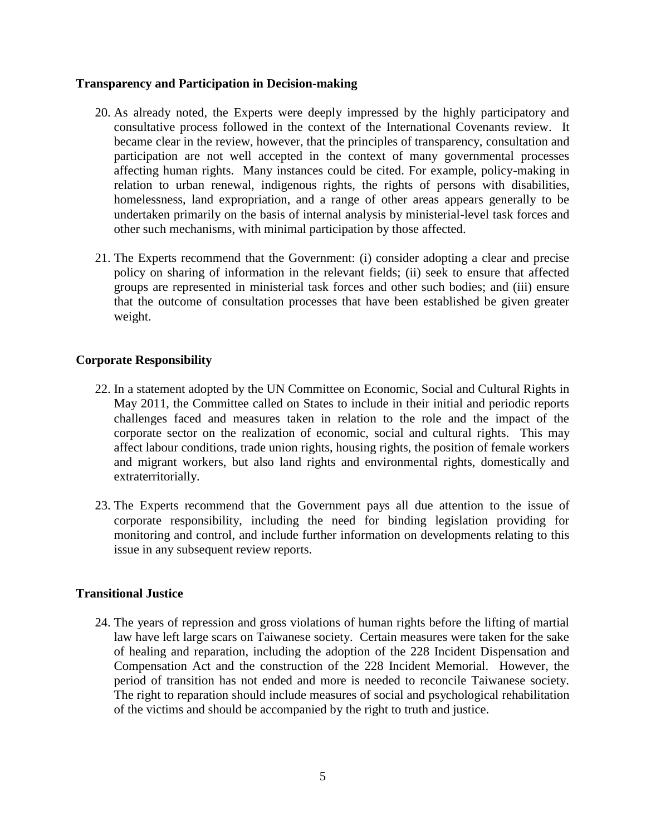## **Transparency and Participation in Decision-making**

- 20. As already noted, the Experts were deeply impressed by the highly participatory and consultative process followed in the context of the International Covenants review. It became clear in the review, however, that the principles of transparency, consultation and participation are not well accepted in the context of many governmental processes affecting human rights. Many instances could be cited. For example, policy-making in relation to urban renewal, indigenous rights, the rights of persons with disabilities, homelessness, land expropriation, and a range of other areas appears generally to be undertaken primarily on the basis of internal analysis by ministerial-level task forces and other such mechanisms, with minimal participation by those affected.
- 21. The Experts recommend that the Government: (i) consider adopting a clear and precise policy on sharing of information in the relevant fields; (ii) seek to ensure that affected groups are represented in ministerial task forces and other such bodies; and (iii) ensure that the outcome of consultation processes that have been established be given greater weight.

# **Corporate Responsibility**

- 22. In a statement adopted by the UN Committee on Economic, Social and Cultural Rights in May 2011, the Committee called on States to include in their initial and periodic reports challenges faced and measures taken in relation to the role and the impact of the corporate sector on the realization of economic, social and cultural rights. This may affect labour conditions, trade union rights, housing rights, the position of female workers and migrant workers, but also land rights and environmental rights, domestically and extraterritorially.
- 23. The Experts recommend that the Government pays all due attention to the issue of corporate responsibility, including the need for binding legislation providing for monitoring and control, and include further information on developments relating to this issue in any subsequent review reports.

# **Transitional Justice**

24. The years of repression and gross violations of human rights before the lifting of martial law have left large scars on Taiwanese society. Certain measures were taken for the sake of healing and reparation, including the adoption of the 228 Incident Dispensation and Compensation Act and the construction of the 228 Incident Memorial. However, the period of transition has not ended and more is needed to reconcile Taiwanese society. The right to reparation should include measures of social and psychological rehabilitation of the victims and should be accompanied by the right to truth and justice.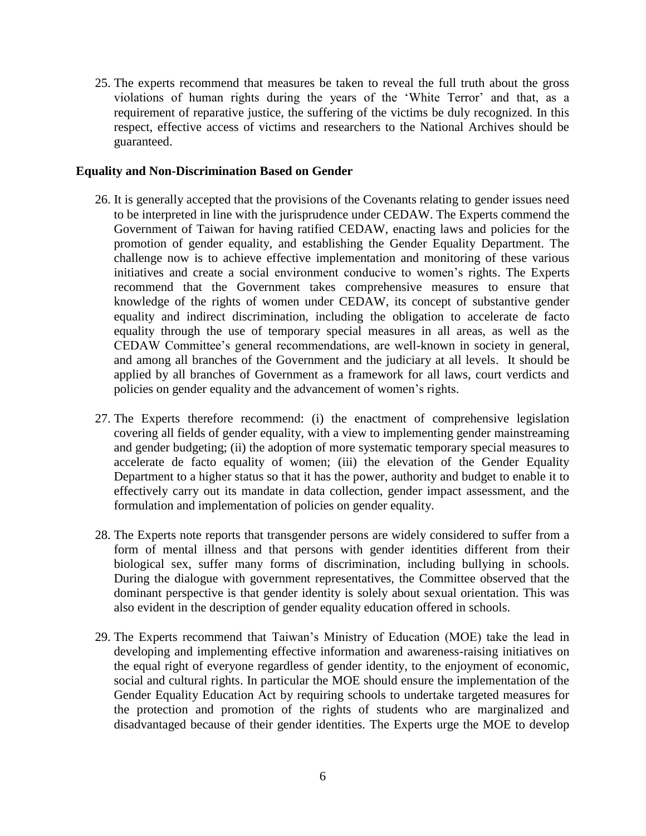25. The experts recommend that measures be taken to reveal the full truth about the gross violations of human rights during the years of the 'White Terror' and that, as a requirement of reparative justice, the suffering of the victims be duly recognized. In this respect, effective access of victims and researchers to the National Archives should be guaranteed.

## **Equality and Non-Discrimination Based on Gender**

- 26. It is generally accepted that the provisions of the Covenants relating to gender issues need to be interpreted in line with the jurisprudence under CEDAW. The Experts commend the Government of Taiwan for having ratified CEDAW, enacting laws and policies for the promotion of gender equality, and establishing the Gender Equality Department. The challenge now is to achieve effective implementation and monitoring of these various initiatives and create a social environment conducive to women's rights. The Experts recommend that the Government takes comprehensive measures to ensure that knowledge of the rights of women under CEDAW, its concept of substantive gender equality and indirect discrimination, including the obligation to accelerate de facto equality through the use of temporary special measures in all areas, as well as the CEDAW Committee's general recommendations, are well-known in society in general, and among all branches of the Government and the judiciary at all levels. It should be applied by all branches of Government as a framework for all laws, court verdicts and policies on gender equality and the advancement of women's rights.
- 27. The Experts therefore recommend: (i) the enactment of comprehensive legislation covering all fields of gender equality, with a view to implementing gender mainstreaming and gender budgeting; (ii) the adoption of more systematic temporary special measures to accelerate de facto equality of women; (iii) the elevation of the Gender Equality Department to a higher status so that it has the power, authority and budget to enable it to effectively carry out its mandate in data collection, gender impact assessment, and the formulation and implementation of policies on gender equality.
- 28. The Experts note reports that transgender persons are widely considered to suffer from a form of mental illness and that persons with gender identities different from their biological sex, suffer many forms of discrimination, including bullying in schools. During the dialogue with government representatives, the Committee observed that the dominant perspective is that gender identity is solely about sexual orientation. This was also evident in the description of gender equality education offered in schools.
- 29. The Experts recommend that Taiwan's Ministry of Education (MOE) take the lead in developing and implementing effective information and awareness-raising initiatives on the equal right of everyone regardless of gender identity, to the enjoyment of economic, social and cultural rights. In particular the MOE should ensure the implementation of the Gender Equality Education Act by requiring schools to undertake targeted measures for the protection and promotion of the rights of students who are marginalized and disadvantaged because of their gender identities. The Experts urge the MOE to develop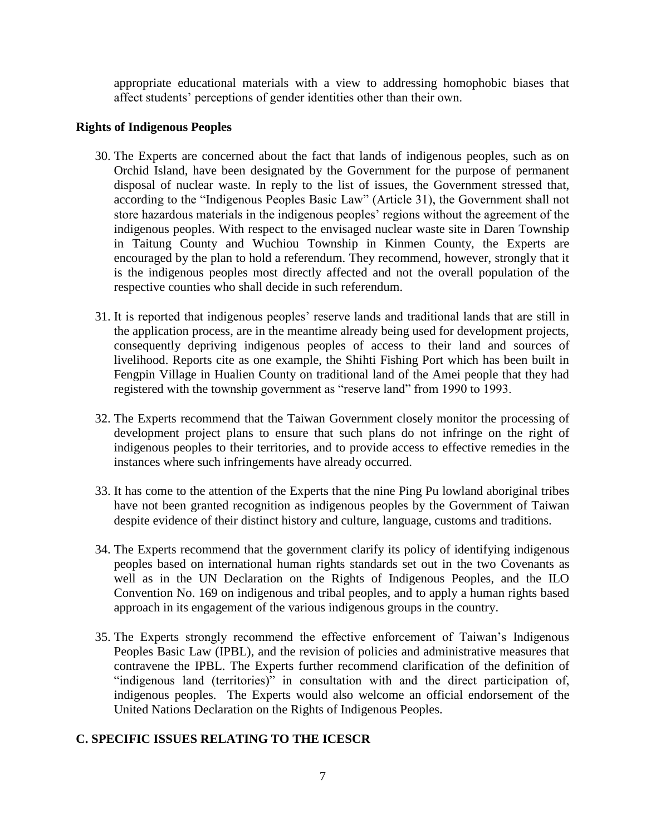appropriate educational materials with a view to addressing homophobic biases that affect students' perceptions of gender identities other than their own.

# **Rights of Indigenous Peoples**

- 30. The Experts are concerned about the fact that lands of indigenous peoples, such as on Orchid Island, have been designated by the Government for the purpose of permanent disposal of nuclear waste. In reply to the list of issues, the Government stressed that, according to the "Indigenous Peoples Basic Law" (Article 31), the Government shall not store hazardous materials in the indigenous peoples' regions without the agreement of the indigenous peoples. With respect to the envisaged nuclear waste site in Daren Township in Taitung County and Wuchiou Township in Kinmen County, the Experts are encouraged by the plan to hold a referendum. They recommend, however, strongly that it is the indigenous peoples most directly affected and not the overall population of the respective counties who shall decide in such referendum.
- 31. It is reported that indigenous peoples' reserve lands and traditional lands that are still in the application process, are in the meantime already being used for development projects, consequently depriving indigenous peoples of access to their land and sources of livelihood. Reports cite as one example, the Shihti Fishing Port which has been built in Fengpin Village in Hualien County on traditional land of the Amei people that they had registered with the township government as "reserve land" from 1990 to 1993.
- 32. The Experts recommend that the Taiwan Government closely monitor the processing of development project plans to ensure that such plans do not infringe on the right of indigenous peoples to their territories, and to provide access to effective remedies in the instances where such infringements have already occurred.
- 33. It has come to the attention of the Experts that the nine Ping Pu lowland aboriginal tribes have not been granted recognition as indigenous peoples by the Government of Taiwan despite evidence of their distinct history and culture, language, customs and traditions.
- 34. The Experts recommend that the government clarify its policy of identifying indigenous peoples based on international human rights standards set out in the two Covenants as well as in the UN Declaration on the Rights of Indigenous Peoples, and the ILO Convention No. 169 on indigenous and tribal peoples, and to apply a human rights based approach in its engagement of the various indigenous groups in the country.
- 35. The Experts strongly recommend the effective enforcement of Taiwan's Indigenous Peoples Basic Law (IPBL), and the revision of policies and administrative measures that contravene the IPBL. The Experts further recommend clarification of the definition of "indigenous land (territories)" in consultation with and the direct participation of, indigenous peoples. The Experts would also welcome an official endorsement of the United Nations Declaration on the Rights of Indigenous Peoples.

# **C. SPECIFIC ISSUES RELATING TO THE ICESCR**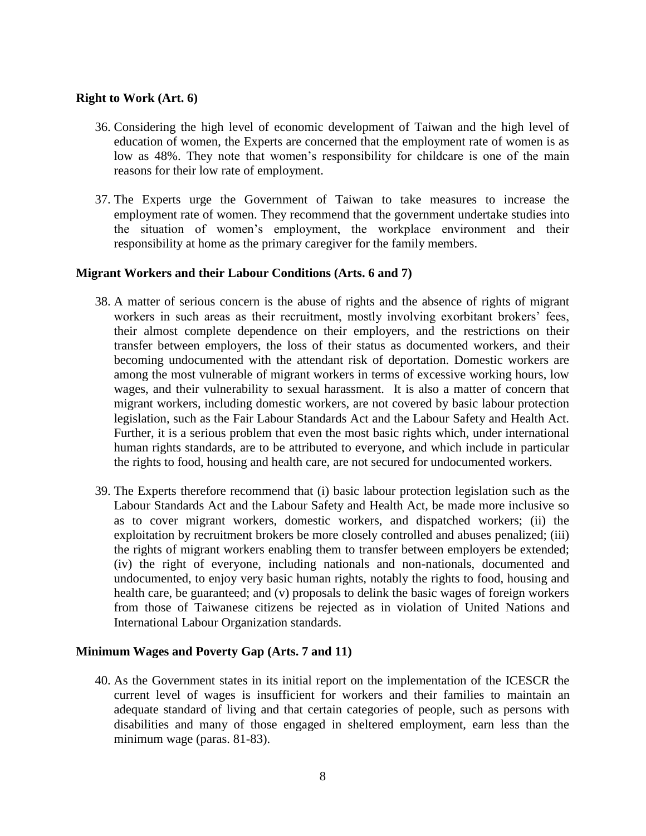## **Right to Work (Art. 6)**

- 36. Considering the high level of economic development of Taiwan and the high level of education of women, the Experts are concerned that the employment rate of women is as low as 48%. They note that women's responsibility for childcare is one of the main reasons for their low rate of employment.
- 37. The Experts urge the Government of Taiwan to take measures to increase the employment rate of women. They recommend that the government undertake studies into the situation of women's employment, the workplace environment and their responsibility at home as the primary caregiver for the family members.

## **Migrant Workers and their Labour Conditions (Arts. 6 and 7)**

- 38. A matter of serious concern is the abuse of rights and the absence of rights of migrant workers in such areas as their recruitment, mostly involving exorbitant brokers' fees, their almost complete dependence on their employers, and the restrictions on their transfer between employers, the loss of their status as documented workers, and their becoming undocumented with the attendant risk of deportation. Domestic workers are among the most vulnerable of migrant workers in terms of excessive working hours, low wages, and their vulnerability to sexual harassment. It is also a matter of concern that migrant workers, including domestic workers, are not covered by basic labour protection legislation, such as the Fair Labour Standards Act and the Labour Safety and Health Act. Further, it is a serious problem that even the most basic rights which, under international human rights standards, are to be attributed to everyone, and which include in particular the rights to food, housing and health care, are not secured for undocumented workers.
- 39. The Experts therefore recommend that (i) basic labour protection legislation such as the Labour Standards Act and the Labour Safety and Health Act, be made more inclusive so as to cover migrant workers, domestic workers, and dispatched workers; (ii) the exploitation by recruitment brokers be more closely controlled and abuses penalized; (iii) the rights of migrant workers enabling them to transfer between employers be extended; (iv) the right of everyone, including nationals and non-nationals, documented and undocumented, to enjoy very basic human rights, notably the rights to food, housing and health care, be guaranteed; and (v) proposals to delink the basic wages of foreign workers from those of Taiwanese citizens be rejected as in violation of United Nations and International Labour Organization standards.

### **Minimum Wages and Poverty Gap (Arts. 7 and 11)**

40. As the Government states in its initial report on the implementation of the ICESCR the current level of wages is insufficient for workers and their families to maintain an adequate standard of living and that certain categories of people, such as persons with disabilities and many of those engaged in sheltered employment, earn less than the minimum wage (paras. 81-83).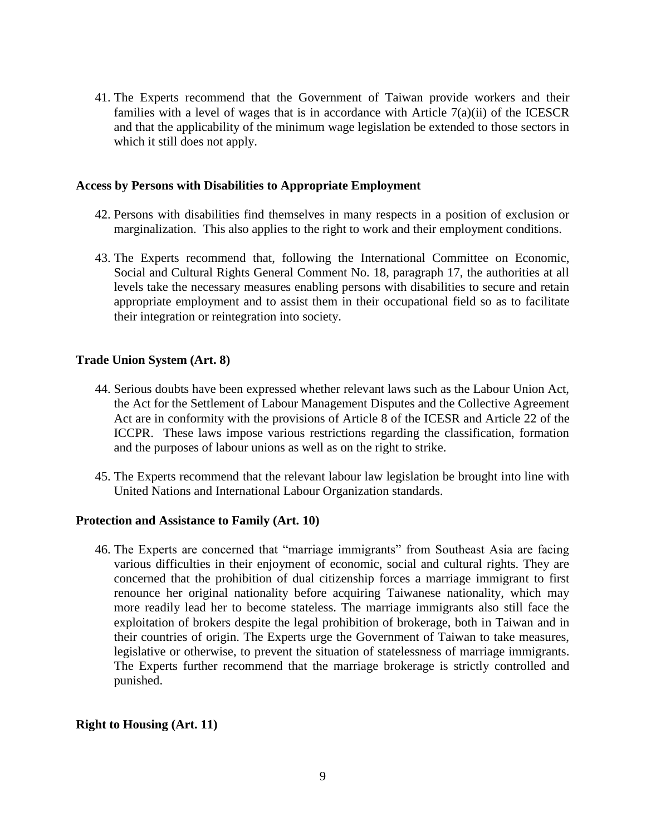41. The Experts recommend that the Government of Taiwan provide workers and their families with a level of wages that is in accordance with Article  $7(a)(ii)$  of the ICESCR and that the applicability of the minimum wage legislation be extended to those sectors in which it still does not apply.

## **Access by Persons with Disabilities to Appropriate Employment**

- 42. Persons with disabilities find themselves in many respects in a position of exclusion or marginalization. This also applies to the right to work and their employment conditions.
- 43. The Experts recommend that, following the International Committee on Economic, Social and Cultural Rights General Comment No. 18, paragraph 17, the authorities at all levels take the necessary measures enabling persons with disabilities to secure and retain appropriate employment and to assist them in their occupational field so as to facilitate their integration or reintegration into society.

# **Trade Union System (Art. 8)**

- 44. Serious doubts have been expressed whether relevant laws such as the Labour Union Act, the Act for the Settlement of Labour Management Disputes and the Collective Agreement Act are in conformity with the provisions of Article 8 of the ICESR and Article 22 of the ICCPR. These laws impose various restrictions regarding the classification, formation and the purposes of labour unions as well as on the right to strike.
- 45. The Experts recommend that the relevant labour law legislation be brought into line with United Nations and International Labour Organization standards.

# **Protection and Assistance to Family (Art. 10)**

46. The Experts are concerned that "marriage immigrants" from Southeast Asia are facing various difficulties in their enjoyment of economic, social and cultural rights. They are concerned that the prohibition of dual citizenship forces a marriage immigrant to first renounce her original nationality before acquiring Taiwanese nationality, which may more readily lead her to become stateless. The marriage immigrants also still face the exploitation of brokers despite the legal prohibition of brokerage, both in Taiwan and in their countries of origin. The Experts urge the Government of Taiwan to take measures, legislative or otherwise, to prevent the situation of statelessness of marriage immigrants. The Experts further recommend that the marriage brokerage is strictly controlled and punished.

# **Right to Housing (Art. 11)**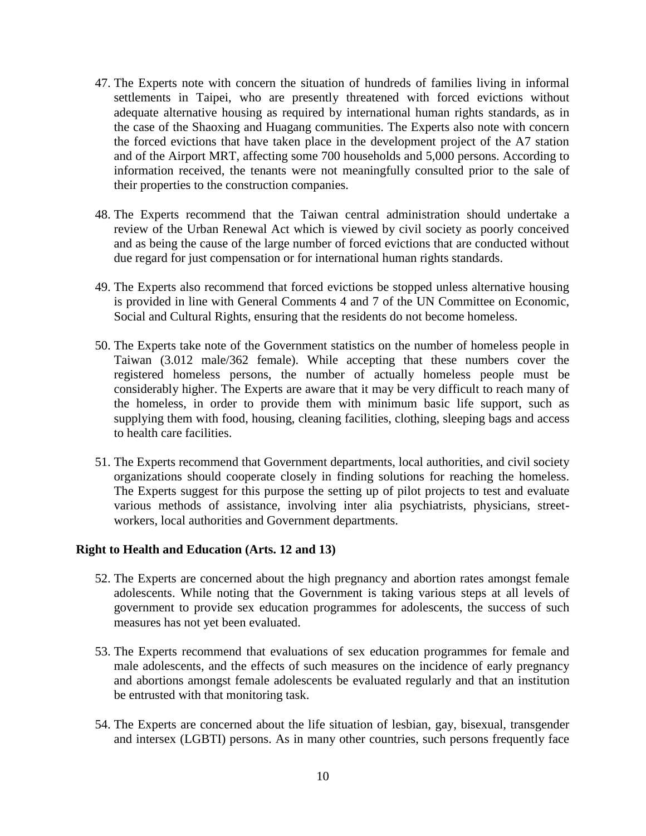- 47. The Experts note with concern the situation of hundreds of families living in informal settlements in Taipei, who are presently threatened with forced evictions without adequate alternative housing as required by international human rights standards, as in the case of the Shaoxing and Huagang communities. The Experts also note with concern the forced evictions that have taken place in the development project of the A7 station and of the Airport MRT, affecting some 700 households and 5,000 persons. According to information received, the tenants were not meaningfully consulted prior to the sale of their properties to the construction companies.
- 48. The Experts recommend that the Taiwan central administration should undertake a review of the Urban Renewal Act which is viewed by civil society as poorly conceived and as being the cause of the large number of forced evictions that are conducted without due regard for just compensation or for international human rights standards.
- 49. The Experts also recommend that forced evictions be stopped unless alternative housing is provided in line with General Comments 4 and 7 of the UN Committee on Economic, Social and Cultural Rights, ensuring that the residents do not become homeless.
- 50. The Experts take note of the Government statistics on the number of homeless people in Taiwan (3.012 male/362 female). While accepting that these numbers cover the registered homeless persons, the number of actually homeless people must be considerably higher. The Experts are aware that it may be very difficult to reach many of the homeless, in order to provide them with minimum basic life support, such as supplying them with food, housing, cleaning facilities, clothing, sleeping bags and access to health care facilities.
- 51. The Experts recommend that Government departments, local authorities, and civil society organizations should cooperate closely in finding solutions for reaching the homeless. The Experts suggest for this purpose the setting up of pilot projects to test and evaluate various methods of assistance, involving inter alia psychiatrists, physicians, streetworkers, local authorities and Government departments.

### **Right to Health and Education (Arts. 12 and 13)**

- 52. The Experts are concerned about the high pregnancy and abortion rates amongst female adolescents. While noting that the Government is taking various steps at all levels of government to provide sex education programmes for adolescents, the success of such measures has not yet been evaluated.
- 53. The Experts recommend that evaluations of sex education programmes for female and male adolescents, and the effects of such measures on the incidence of early pregnancy and abortions amongst female adolescents be evaluated regularly and that an institution be entrusted with that monitoring task.
- 54. The Experts are concerned about the life situation of lesbian, gay, bisexual, transgender and intersex (LGBTI) persons. As in many other countries, such persons frequently face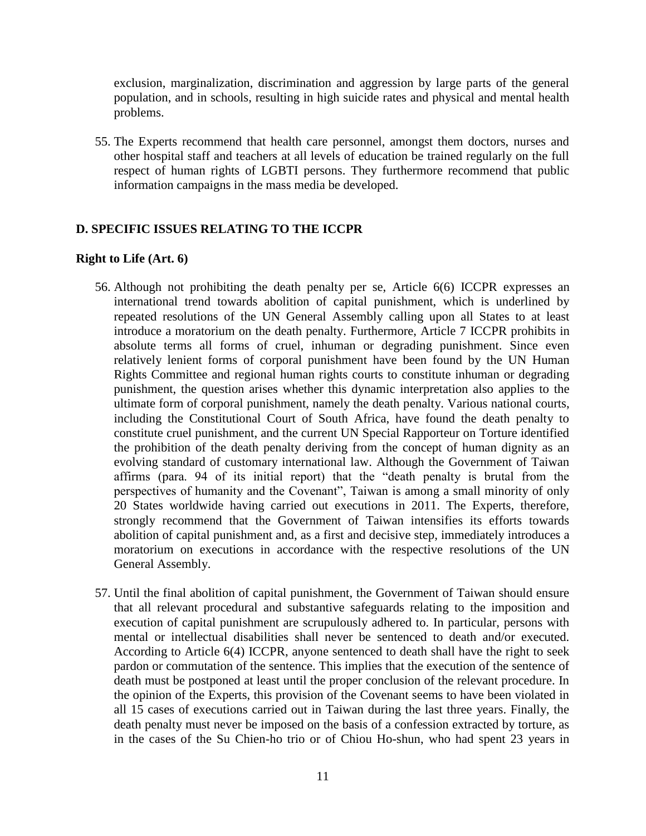exclusion, marginalization, discrimination and aggression by large parts of the general population, and in schools, resulting in high suicide rates and physical and mental health problems.

55. The Experts recommend that health care personnel, amongst them doctors, nurses and other hospital staff and teachers at all levels of education be trained regularly on the full respect of human rights of LGBTI persons. They furthermore recommend that public information campaigns in the mass media be developed.

# **D. SPECIFIC ISSUES RELATING TO THE ICCPR**

# **Right to Life (Art. 6)**

- 56. Although not prohibiting the death penalty per se, Article 6(6) ICCPR expresses an international trend towards abolition of capital punishment, which is underlined by repeated resolutions of the UN General Assembly calling upon all States to at least introduce a moratorium on the death penalty. Furthermore, Article 7 ICCPR prohibits in absolute terms all forms of cruel, inhuman or degrading punishment. Since even relatively lenient forms of corporal punishment have been found by the UN Human Rights Committee and regional human rights courts to constitute inhuman or degrading punishment, the question arises whether this dynamic interpretation also applies to the ultimate form of corporal punishment, namely the death penalty. Various national courts, including the Constitutional Court of South Africa, have found the death penalty to constitute cruel punishment, and the current UN Special Rapporteur on Torture identified the prohibition of the death penalty deriving from the concept of human dignity as an evolving standard of customary international law. Although the Government of Taiwan affirms (para. 94 of its initial report) that the "death penalty is brutal from the perspectives of humanity and the Covenant", Taiwan is among a small minority of only 20 States worldwide having carried out executions in 2011. The Experts, therefore, strongly recommend that the Government of Taiwan intensifies its efforts towards abolition of capital punishment and, as a first and decisive step, immediately introduces a moratorium on executions in accordance with the respective resolutions of the UN General Assembly.
- 57. Until the final abolition of capital punishment, the Government of Taiwan should ensure that all relevant procedural and substantive safeguards relating to the imposition and execution of capital punishment are scrupulously adhered to. In particular, persons with mental or intellectual disabilities shall never be sentenced to death and/or executed. According to Article 6(4) ICCPR, anyone sentenced to death shall have the right to seek pardon or commutation of the sentence. This implies that the execution of the sentence of death must be postponed at least until the proper conclusion of the relevant procedure. In the opinion of the Experts, this provision of the Covenant seems to have been violated in all 15 cases of executions carried out in Taiwan during the last three years. Finally, the death penalty must never be imposed on the basis of a confession extracted by torture, as in the cases of the Su Chien-ho trio or of Chiou Ho-shun, who had spent 23 years in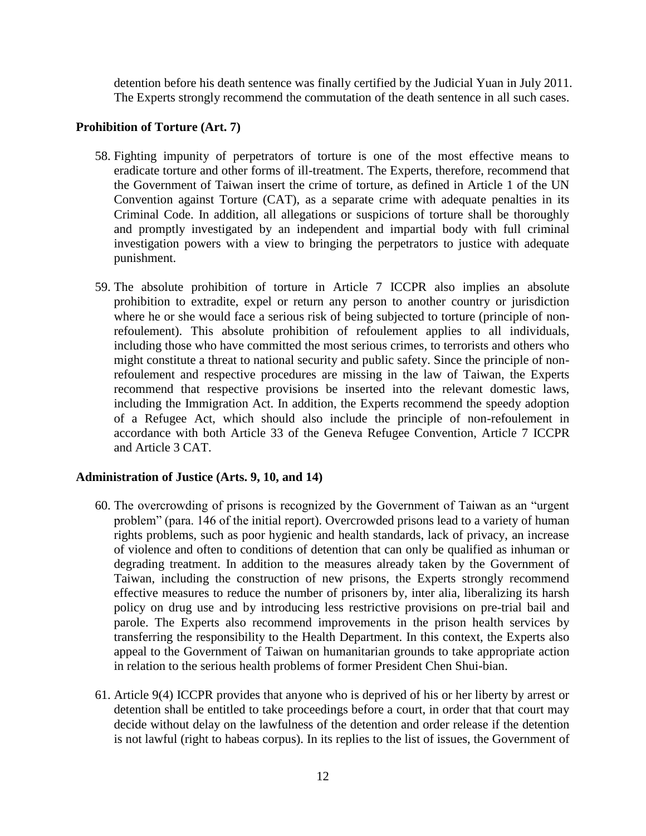detention before his death sentence was finally certified by the Judicial Yuan in July 2011. The Experts strongly recommend the commutation of the death sentence in all such cases.

# **Prohibition of Torture (Art. 7)**

- 58. Fighting impunity of perpetrators of torture is one of the most effective means to eradicate torture and other forms of ill-treatment. The Experts, therefore, recommend that the Government of Taiwan insert the crime of torture, as defined in Article 1 of the UN Convention against Torture (CAT), as a separate crime with adequate penalties in its Criminal Code. In addition, all allegations or suspicions of torture shall be thoroughly and promptly investigated by an independent and impartial body with full criminal investigation powers with a view to bringing the perpetrators to justice with adequate punishment.
- 59. The absolute prohibition of torture in Article 7 ICCPR also implies an absolute prohibition to extradite, expel or return any person to another country or jurisdiction where he or she would face a serious risk of being subjected to torture (principle of nonrefoulement). This absolute prohibition of refoulement applies to all individuals, including those who have committed the most serious crimes, to terrorists and others who might constitute a threat to national security and public safety. Since the principle of nonrefoulement and respective procedures are missing in the law of Taiwan, the Experts recommend that respective provisions be inserted into the relevant domestic laws, including the Immigration Act. In addition, the Experts recommend the speedy adoption of a Refugee Act, which should also include the principle of non-refoulement in accordance with both Article 33 of the Geneva Refugee Convention, Article 7 ICCPR and Article 3 CAT.

# **Administration of Justice (Arts. 9, 10, and 14)**

- 60. The overcrowding of prisons is recognized by the Government of Taiwan as an "urgent problem" (para. 146 of the initial report). Overcrowded prisons lead to a variety of human rights problems, such as poor hygienic and health standards, lack of privacy, an increase of violence and often to conditions of detention that can only be qualified as inhuman or degrading treatment. In addition to the measures already taken by the Government of Taiwan, including the construction of new prisons, the Experts strongly recommend effective measures to reduce the number of prisoners by, inter alia, liberalizing its harsh policy on drug use and by introducing less restrictive provisions on pre-trial bail and parole. The Experts also recommend improvements in the prison health services by transferring the responsibility to the Health Department. In this context, the Experts also appeal to the Government of Taiwan on humanitarian grounds to take appropriate action in relation to the serious health problems of former President Chen Shui-bian.
- 61. Article 9(4) ICCPR provides that anyone who is deprived of his or her liberty by arrest or detention shall be entitled to take proceedings before a court, in order that that court may decide without delay on the lawfulness of the detention and order release if the detention is not lawful (right to habeas corpus). In its replies to the list of issues, the Government of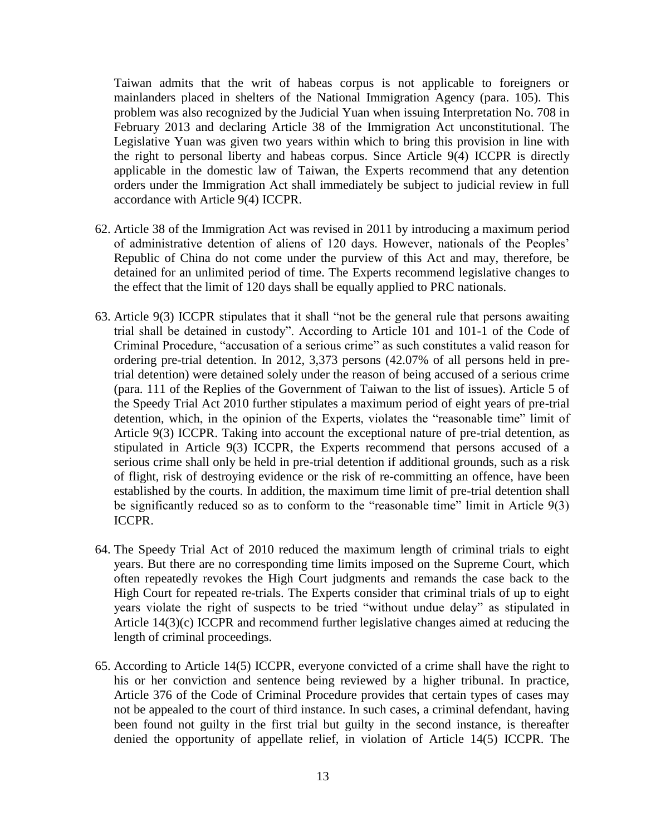Taiwan admits that the writ of habeas corpus is not applicable to foreigners or mainlanders placed in shelters of the National Immigration Agency (para. 105). This problem was also recognized by the Judicial Yuan when issuing Interpretation No. 708 in February 2013 and declaring Article 38 of the Immigration Act unconstitutional. The Legislative Yuan was given two years within which to bring this provision in line with the right to personal liberty and habeas corpus. Since Article 9(4) ICCPR is directly applicable in the domestic law of Taiwan, the Experts recommend that any detention orders under the Immigration Act shall immediately be subject to judicial review in full accordance with Article 9(4) ICCPR.

- 62. Article 38 of the Immigration Act was revised in 2011 by introducing a maximum period of administrative detention of aliens of 120 days. However, nationals of the Peoples' Republic of China do not come under the purview of this Act and may, therefore, be detained for an unlimited period of time. The Experts recommend legislative changes to the effect that the limit of 120 days shall be equally applied to PRC nationals.
- 63. Article 9(3) ICCPR stipulates that it shall "not be the general rule that persons awaiting trial shall be detained in custody". According to Article 101 and 101-1 of the Code of Criminal Procedure, "accusation of a serious crime" as such constitutes a valid reason for ordering pre-trial detention. In 2012, 3,373 persons (42.07% of all persons held in pretrial detention) were detained solely under the reason of being accused of a serious crime (para. 111 of the Replies of the Government of Taiwan to the list of issues). Article 5 of the Speedy Trial Act 2010 further stipulates a maximum period of eight years of pre-trial detention, which, in the opinion of the Experts, violates the "reasonable time" limit of Article 9(3) ICCPR. Taking into account the exceptional nature of pre-trial detention, as stipulated in Article 9(3) ICCPR, the Experts recommend that persons accused of a serious crime shall only be held in pre-trial detention if additional grounds, such as a risk of flight, risk of destroying evidence or the risk of re-committing an offence, have been established by the courts. In addition, the maximum time limit of pre-trial detention shall be significantly reduced so as to conform to the "reasonable time" limit in Article 9(3) ICCPR.
- 64. The Speedy Trial Act of 2010 reduced the maximum length of criminal trials to eight years. But there are no corresponding time limits imposed on the Supreme Court, which often repeatedly revokes the High Court judgments and remands the case back to the High Court for repeated re-trials. The Experts consider that criminal trials of up to eight years violate the right of suspects to be tried "without undue delay" as stipulated in Article 14(3)(c) ICCPR and recommend further legislative changes aimed at reducing the length of criminal proceedings.
- 65. According to Article 14(5) ICCPR, everyone convicted of a crime shall have the right to his or her conviction and sentence being reviewed by a higher tribunal. In practice, Article 376 of the Code of Criminal Procedure provides that certain types of cases may not be appealed to the court of third instance. In such cases, a criminal defendant, having been found not guilty in the first trial but guilty in the second instance, is thereafter denied the opportunity of appellate relief, in violation of Article 14(5) ICCPR. The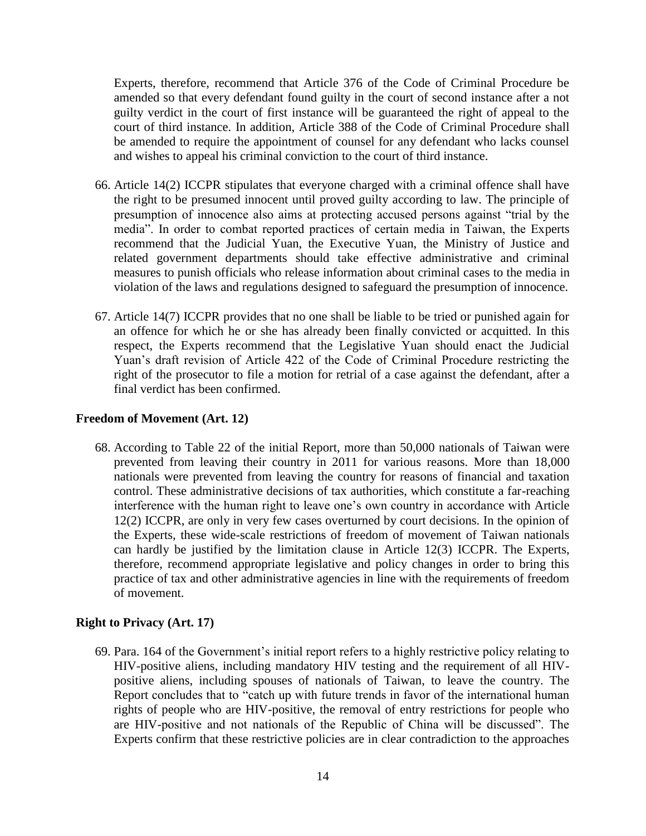Experts, therefore, recommend that Article 376 of the Code of Criminal Procedure be amended so that every defendant found guilty in the court of second instance after a not guilty verdict in the court of first instance will be guaranteed the right of appeal to the court of third instance. In addition, Article 388 of the Code of Criminal Procedure shall be amended to require the appointment of counsel for any defendant who lacks counsel and wishes to appeal his criminal conviction to the court of third instance.

- 66. Article 14(2) ICCPR stipulates that everyone charged with a criminal offence shall have the right to be presumed innocent until proved guilty according to law. The principle of presumption of innocence also aims at protecting accused persons against "trial by the media". In order to combat reported practices of certain media in Taiwan, the Experts recommend that the Judicial Yuan, the Executive Yuan, the Ministry of Justice and related government departments should take effective administrative and criminal measures to punish officials who release information about criminal cases to the media in violation of the laws and regulations designed to safeguard the presumption of innocence.
- 67. Article 14(7) ICCPR provides that no one shall be liable to be tried or punished again for an offence for which he or she has already been finally convicted or acquitted. In this respect, the Experts recommend that the Legislative Yuan should enact the Judicial Yuan's draft revision of Article 422 of the Code of Criminal Procedure restricting the right of the prosecutor to file a motion for retrial of a case against the defendant, after a final verdict has been confirmed.

## **Freedom of Movement (Art. 12)**

68. According to Table 22 of the initial Report, more than 50,000 nationals of Taiwan were prevented from leaving their country in 2011 for various reasons. More than 18,000 nationals were prevented from leaving the country for reasons of financial and taxation control. These administrative decisions of tax authorities, which constitute a far-reaching interference with the human right to leave one's own country in accordance with Article 12(2) ICCPR, are only in very few cases overturned by court decisions. In the opinion of the Experts, these wide-scale restrictions of freedom of movement of Taiwan nationals can hardly be justified by the limitation clause in Article 12(3) ICCPR. The Experts, therefore, recommend appropriate legislative and policy changes in order to bring this practice of tax and other administrative agencies in line with the requirements of freedom of movement.

### **Right to Privacy (Art. 17)**

69. Para. 164 of the Government's initial report refers to a highly restrictive policy relating to HIV-positive aliens, including mandatory HIV testing and the requirement of all HIVpositive aliens, including spouses of nationals of Taiwan, to leave the country. The Report concludes that to "catch up with future trends in favor of the international human rights of people who are HIV-positive, the removal of entry restrictions for people who are HIV-positive and not nationals of the Republic of China will be discussed". The Experts confirm that these restrictive policies are in clear contradiction to the approaches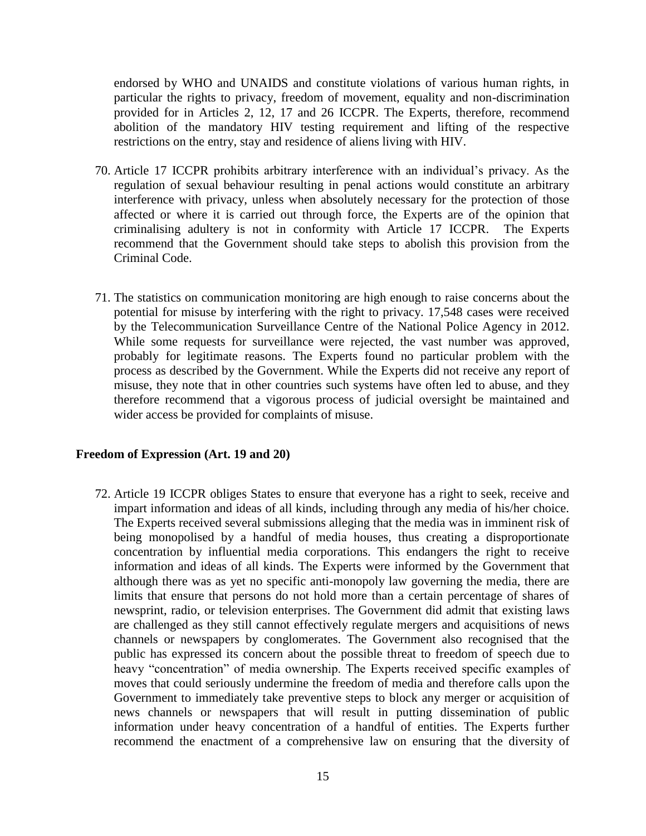endorsed by WHO and UNAIDS and constitute violations of various human rights, in particular the rights to privacy, freedom of movement, equality and non-discrimination provided for in Articles 2, 12, 17 and 26 ICCPR. The Experts, therefore, recommend abolition of the mandatory HIV testing requirement and lifting of the respective restrictions on the entry, stay and residence of aliens living with HIV.

- 70. Article 17 ICCPR prohibits arbitrary interference with an individual's privacy. As the regulation of sexual behaviour resulting in penal actions would constitute an arbitrary interference with privacy, unless when absolutely necessary for the protection of those affected or where it is carried out through force, the Experts are of the opinion that criminalising adultery is not in conformity with Article 17 ICCPR. The Experts recommend that the Government should take steps to abolish this provision from the Criminal Code.
- 71. The statistics on communication monitoring are high enough to raise concerns about the potential for misuse by interfering with the right to privacy. 17,548 cases were received by the Telecommunication Surveillance Centre of the National Police Agency in 2012. While some requests for surveillance were rejected, the vast number was approved, probably for legitimate reasons. The Experts found no particular problem with the process as described by the Government. While the Experts did not receive any report of misuse, they note that in other countries such systems have often led to abuse, and they therefore recommend that a vigorous process of judicial oversight be maintained and wider access be provided for complaints of misuse.

### **Freedom of Expression (Art. 19 and 20)**

72. Article 19 ICCPR obliges States to ensure that everyone has a right to seek, receive and impart information and ideas of all kinds, including through any media of his/her choice. The Experts received several submissions alleging that the media was in imminent risk of being monopolised by a handful of media houses, thus creating a disproportionate concentration by influential media corporations. This endangers the right to receive information and ideas of all kinds. The Experts were informed by the Government that although there was as yet no specific anti-monopoly law governing the media, there are limits that ensure that persons do not hold more than a certain percentage of shares of newsprint, radio, or television enterprises. The Government did admit that existing laws are challenged as they still cannot effectively regulate mergers and acquisitions of news channels or newspapers by conglomerates. The Government also recognised that the public has expressed its concern about the possible threat to freedom of speech due to heavy "concentration" of media ownership. The Experts received specific examples of moves that could seriously undermine the freedom of media and therefore calls upon the Government to immediately take preventive steps to block any merger or acquisition of news channels or newspapers that will result in putting dissemination of public information under heavy concentration of a handful of entities. The Experts further recommend the enactment of a comprehensive law on ensuring that the diversity of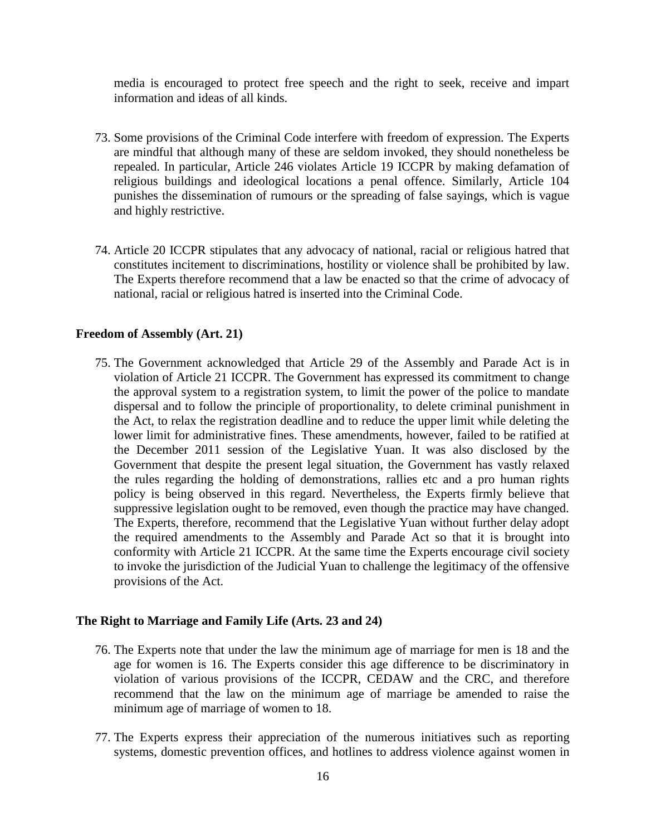media is encouraged to protect free speech and the right to seek, receive and impart information and ideas of all kinds.

- 73. Some provisions of the Criminal Code interfere with freedom of expression. The Experts are mindful that although many of these are seldom invoked, they should nonetheless be repealed. In particular, Article 246 violates Article 19 ICCPR by making defamation of religious buildings and ideological locations a penal offence. Similarly, Article 104 punishes the dissemination of rumours or the spreading of false sayings, which is vague and highly restrictive.
- 74. Article 20 ICCPR stipulates that any advocacy of national, racial or religious hatred that constitutes incitement to discriminations, hostility or violence shall be prohibited by law. The Experts therefore recommend that a law be enacted so that the crime of advocacy of national, racial or religious hatred is inserted into the Criminal Code.

# **Freedom of Assembly (Art. 21)**

75. The Government acknowledged that Article 29 of the Assembly and Parade Act is in violation of Article 21 ICCPR. The Government has expressed its commitment to change the approval system to a registration system, to limit the power of the police to mandate dispersal and to follow the principle of proportionality, to delete criminal punishment in the Act, to relax the registration deadline and to reduce the upper limit while deleting the lower limit for administrative fines. These amendments, however, failed to be ratified at the December 2011 session of the Legislative Yuan. It was also disclosed by the Government that despite the present legal situation, the Government has vastly relaxed the rules regarding the holding of demonstrations, rallies etc and a pro human rights policy is being observed in this regard. Nevertheless, the Experts firmly believe that suppressive legislation ought to be removed, even though the practice may have changed. The Experts, therefore, recommend that the Legislative Yuan without further delay adopt the required amendments to the Assembly and Parade Act so that it is brought into conformity with Article 21 ICCPR. At the same time the Experts encourage civil society to invoke the jurisdiction of the Judicial Yuan to challenge the legitimacy of the offensive provisions of the Act.

# **The Right to Marriage and Family Life (Arts. 23 and 24)**

- 76. The Experts note that under the law the minimum age of marriage for men is 18 and the age for women is 16. The Experts consider this age difference to be discriminatory in violation of various provisions of the ICCPR, CEDAW and the CRC, and therefore recommend that the law on the minimum age of marriage be amended to raise the minimum age of marriage of women to 18.
- 77. The Experts express their appreciation of the numerous initiatives such as reporting systems, domestic prevention offices, and hotlines to address violence against women in